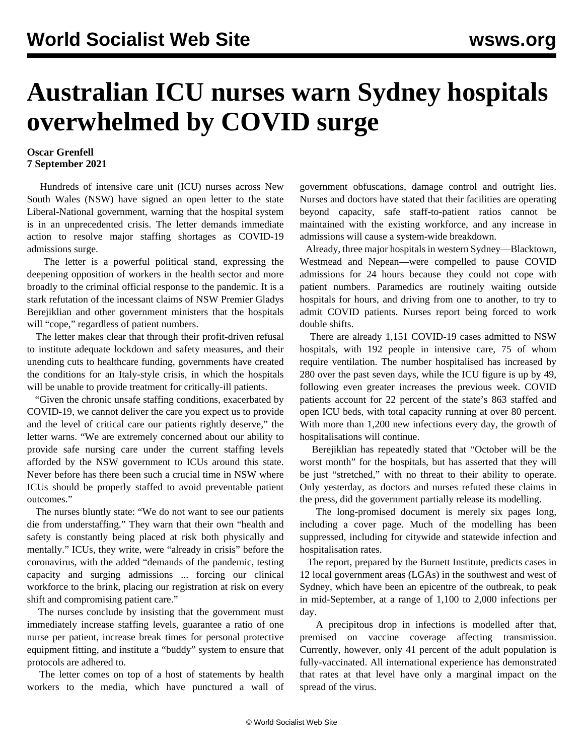## **Australian ICU nurses warn Sydney hospitals overwhelmed by COVID surge**

## **Oscar Grenfell 7 September 2021**

 Hundreds of intensive care unit (ICU) nurses across New South Wales (NSW) have signed an open letter to the state Liberal-National government, warning that the hospital system is in an unprecedented crisis. The letter demands immediate action to resolve major staffing shortages as COVID-19 admissions surge.

 The letter is a powerful political stand, expressing the deepening opposition of workers in the health sector and more broadly to the criminal official response to the pandemic. It is a stark refutation of the incessant claims of NSW Premier Gladys Berejiklian and other government ministers that the hospitals will "cope," regardless of patient numbers.

 The letter makes clear that through their profit-driven refusal to institute adequate lockdown and safety measures, and their unending cuts to healthcare funding, governments have created the conditions for an Italy-style crisis, in which the hospitals will be unable to provide treatment for critically-ill patients.

 "Given the chronic unsafe staffing conditions, exacerbated by COVID-19, we cannot deliver the care you expect us to provide and the level of critical care our patients rightly deserve," the letter warns. "We are extremely concerned about our ability to provide safe nursing care under the current staffing levels afforded by the NSW government to ICUs around this state. Never before has there been such a crucial time in NSW where ICUs should be properly staffed to avoid preventable patient outcomes."

 The nurses bluntly state: "We do not want to see our patients die from understaffing." They warn that their own "health and safety is constantly being placed at risk both physically and mentally." ICUs, they write, were "already in crisis" before the coronavirus, with the added "demands of the pandemic, testing capacity and surging admissions ... forcing our clinical workforce to the brink, placing our registration at risk on every shift and compromising patient care."

 The nurses conclude by insisting that the government must immediately increase staffing levels, guarantee a ratio of one nurse per patient, increase break times for personal protective equipment fitting, and institute a "buddy" system to ensure that protocols are adhered to.

 The letter comes on top of a host of statements by health workers to the media, which have punctured a wall of government obfuscations, damage control and outright lies. Nurses and doctors have stated that their facilities are operating beyond capacity, safe staff-to-patient ratios cannot be maintained with the existing workforce, and any increase in admissions will cause a system-wide breakdown.

 Already, three major hospitals in western Sydney—Blacktown, Westmead and Nepean—were compelled to pause COVID admissions for 24 hours because they could not cope with patient numbers. Paramedics are routinely waiting outside hospitals for hours, and driving from one to another, to try to admit COVID patients. Nurses report being forced to work double shifts.

 There are already 1,151 COVID-19 cases admitted to NSW hospitals, with 192 people in intensive care, 75 of whom require ventilation. The number hospitalised has increased by 280 over the past seven days, while the ICU figure is up by 49, following even greater increases the previous week. COVID patients account for 22 percent of the state's 863 staffed and open ICU beds, with total capacity running at over 80 percent. With more than 1,200 new infections every day, the growth of hospitalisations will continue.

 Berejiklian has repeatedly stated that "October will be the worst month" for the hospitals, but has asserted that they will be just "stretched," with no threat to their ability to operate. Only yesterday, as doctors and nurses refuted these claims in the press, did the government partially release its modelling.

 The long-promised document is merely six pages long, including a cover page. Much of the modelling has been suppressed, including for citywide and statewide infection and hospitalisation rates.

 The report, prepared by the Burnett Institute, predicts cases in 12 local government areas (LGAs) in the southwest and west of Sydney, which have been an epicentre of the outbreak, to peak in mid-September, at a range of 1,100 to 2,000 infections per day.

 A precipitous drop in infections is modelled after that, premised on vaccine coverage affecting transmission. Currently, however, only 41 percent of the adult population is fully-vaccinated. All international experience has demonstrated that rates at that level have only a marginal impact on the spread of the virus.